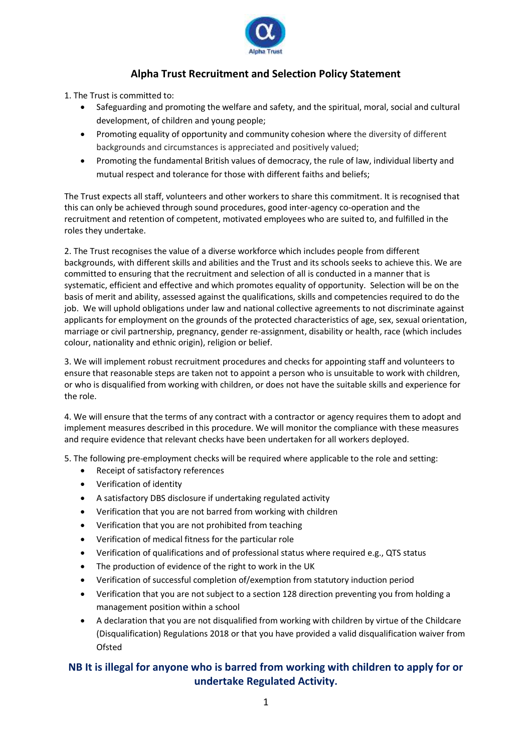

## **Alpha Trust Recruitment and Selection Policy Statement**

1. The Trust is committed to:

- Safeguarding and promoting the welfare and safety, and the spiritual, moral, social and cultural development, of children and young people;
- Promoting equality of opportunity and community cohesion where the diversity of different backgrounds and circumstances is appreciated and positively valued;
- Promoting the fundamental British values of democracy, the rule of law, individual liberty and mutual respect and tolerance for those with different faiths and beliefs;

The Trust expects all staff, volunteers and other workers to share this commitment. It is recognised that this can only be achieved through sound procedures, good inter-agency co-operation and the recruitment and retention of competent, motivated employees who are suited to, and fulfilled in the roles they undertake.

2. The Trust recognises the value of a diverse workforce which includes people from different backgrounds, with different skills and abilities and the Trust and its schools seeks to achieve this. We are committed to ensuring that the recruitment and selection of all is conducted in a manner that is systematic, efficient and effective and which promotes equality of opportunity. Selection will be on the basis of merit and ability, assessed against the qualifications, skills and competencies required to do the job. We will uphold obligations under law and national collective agreements to not discriminate against applicants for employment on the grounds of the protected characteristics of age, sex, sexual orientation, marriage or civil partnership, pregnancy, gender re-assignment, disability or health, race (which includes colour, nationality and ethnic origin), religion or belief.

3. We will implement robust recruitment procedures and checks for appointing staff and volunteers to ensure that reasonable steps are taken not to appoint a person who is unsuitable to work with children, or who is disqualified from working with children, or does not have the suitable skills and experience for the role.

4. We will ensure that the terms of any contract with a contractor or agency requires them to adopt and implement measures described in this procedure. We will monitor the compliance with these measures and require evidence that relevant checks have been undertaken for all workers deployed.

5. The following pre-employment checks will be required where applicable to the role and setting:

- Receipt of satisfactory references
- Verification of identity
- A satisfactory DBS disclosure if undertaking regulated activity
- Verification that you are not barred from working with children
- Verification that you are not prohibited from teaching
- Verification of medical fitness for the particular role
- Verification of qualifications and of professional status where required e.g., QTS status
- The production of evidence of the right to work in the UK
- Verification of successful completion of/exemption from statutory induction period
- Verification that you are not subject to a section 128 direction preventing you from holding a management position within a school
- A declaration that you are not disqualified from working with children by virtue of the Childcare (Disqualification) Regulations 2018 or that you have provided a valid disqualification waiver from Ofsted

## **NB It is illegal for anyone who is barred from working with children to apply for or undertake Regulated Activity.**